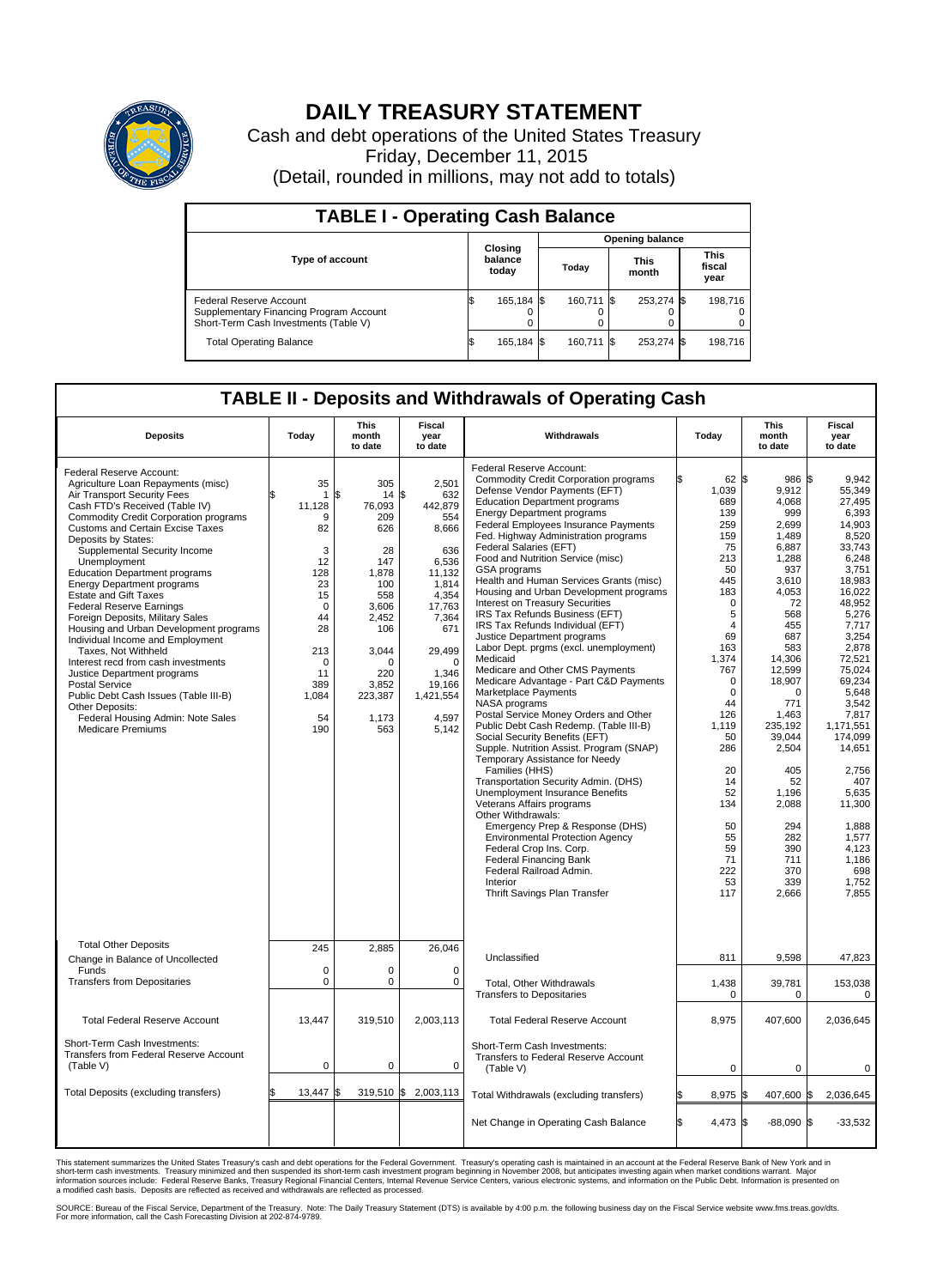

## **DAILY TREASURY STATEMENT**

Cash and debt operations of the United States Treasury Friday, December 11, 2015 (Detail, rounded in millions, may not add to totals)

| <b>TABLE I - Operating Cash Balance</b>                                                                     |    |                             |                        |             |  |                      |  |                               |  |  |  |
|-------------------------------------------------------------------------------------------------------------|----|-----------------------------|------------------------|-------------|--|----------------------|--|-------------------------------|--|--|--|
|                                                                                                             |    |                             | <b>Opening balance</b> |             |  |                      |  |                               |  |  |  |
| <b>Type of account</b>                                                                                      |    | Closing<br>balance<br>today |                        | Todav       |  | <b>This</b><br>month |  | <b>This</b><br>fiscal<br>year |  |  |  |
| Federal Reserve Account<br>Supplementary Financing Program Account<br>Short-Term Cash Investments (Table V) |    | 165,184 \$                  |                        | 160.711 \\$ |  | 253,274 \$           |  | 198.716                       |  |  |  |
| <b>Total Operating Balance</b>                                                                              | ß. | 165,184 \$                  |                        | 160.711 \\$ |  | 253,274 \$           |  | 198,716                       |  |  |  |

## **TABLE II - Deposits and Withdrawals of Operating Cash**

| <b>Deposits</b>                                                                                                                                                                                                                                                                                                                                                                                                                                                                                                                                                                                                                                                                                                                                                                                                        | Today                                                                                                                                                     | <b>This</b><br>month<br>to date                                                                                                                               | <b>Fiscal</b><br>year<br>to date                                                                                                                                                               | Withdrawals                                                                                                                                                                                                                                                                                                                                                                                                                                                                                                                                                                                                                                                                                                                                                                                                                                                                                                                                                                                                                                                                                                                                                                                                                                                                                                                              | Today                                                                                                                                                                                                                                                                             | <b>This</b><br>month<br>to date                                                                                                                                                                                                                                                                       | <b>Fiscal</b><br>year<br>to date                                                                                                                                                                                                                                                                                                                      |
|------------------------------------------------------------------------------------------------------------------------------------------------------------------------------------------------------------------------------------------------------------------------------------------------------------------------------------------------------------------------------------------------------------------------------------------------------------------------------------------------------------------------------------------------------------------------------------------------------------------------------------------------------------------------------------------------------------------------------------------------------------------------------------------------------------------------|-----------------------------------------------------------------------------------------------------------------------------------------------------------|---------------------------------------------------------------------------------------------------------------------------------------------------------------|------------------------------------------------------------------------------------------------------------------------------------------------------------------------------------------------|------------------------------------------------------------------------------------------------------------------------------------------------------------------------------------------------------------------------------------------------------------------------------------------------------------------------------------------------------------------------------------------------------------------------------------------------------------------------------------------------------------------------------------------------------------------------------------------------------------------------------------------------------------------------------------------------------------------------------------------------------------------------------------------------------------------------------------------------------------------------------------------------------------------------------------------------------------------------------------------------------------------------------------------------------------------------------------------------------------------------------------------------------------------------------------------------------------------------------------------------------------------------------------------------------------------------------------------|-----------------------------------------------------------------------------------------------------------------------------------------------------------------------------------------------------------------------------------------------------------------------------------|-------------------------------------------------------------------------------------------------------------------------------------------------------------------------------------------------------------------------------------------------------------------------------------------------------|-------------------------------------------------------------------------------------------------------------------------------------------------------------------------------------------------------------------------------------------------------------------------------------------------------------------------------------------------------|
| Federal Reserve Account:<br>Agriculture Loan Repayments (misc)<br>Air Transport Security Fees<br>Cash FTD's Received (Table IV)<br><b>Commodity Credit Corporation programs</b><br><b>Customs and Certain Excise Taxes</b><br>Deposits by States:<br>Supplemental Security Income<br>Unemployment<br><b>Education Department programs</b><br><b>Energy Department programs</b><br><b>Estate and Gift Taxes</b><br><b>Federal Reserve Earnings</b><br>Foreign Deposits, Military Sales<br>Housing and Urban Development programs<br>Individual Income and Employment<br>Taxes, Not Withheld<br>Interest recd from cash investments<br>Justice Department programs<br><b>Postal Service</b><br>Public Debt Cash Issues (Table III-B)<br>Other Deposits:<br>Federal Housing Admin: Note Sales<br><b>Medicare Premiums</b> | 35<br>$\mathbf{1}$<br>11,128<br>9<br>82<br>3<br>12<br>128<br>23<br>15<br>$\mathbf 0$<br>44<br>28<br>213<br>$\mathbf 0$<br>11<br>389<br>1,084<br>54<br>190 | 305<br>\$<br>14<br>76,093<br>209<br>626<br>28<br>147<br>1.878<br>100<br>558<br>3.606<br>2,452<br>106<br>3,044<br>O<br>220<br>3,852<br>223,387<br>1,173<br>563 | 2,501<br>\$<br>632<br>442,879<br>554<br>8,666<br>636<br>6,536<br>11.132<br>1,814<br>4,354<br>17.763<br>7,364<br>671<br>29,499<br>$\mathbf 0$<br>1.346<br>19,166<br>1,421,554<br>4,597<br>5,142 | Federal Reserve Account:<br><b>Commodity Credit Corporation programs</b><br>Defense Vendor Payments (EFT)<br><b>Education Department programs</b><br><b>Energy Department programs</b><br>Federal Employees Insurance Payments<br>Fed. Highway Administration programs<br>Federal Salaries (EFT)<br>Food and Nutrition Service (misc)<br><b>GSA</b> programs<br>Health and Human Services Grants (misc)<br>Housing and Urban Development programs<br>Interest on Treasury Securities<br>IRS Tax Refunds Business (EFT)<br>IRS Tax Refunds Individual (EFT)<br>Justice Department programs<br>Labor Dept. prgms (excl. unemployment)<br>Medicaid<br>Medicare and Other CMS Payments<br>Medicare Advantage - Part C&D Payments<br>Marketplace Payments<br>NASA programs<br>Postal Service Money Orders and Other<br>Public Debt Cash Redemp. (Table III-B)<br>Social Security Benefits (EFT)<br>Supple. Nutrition Assist. Program (SNAP)<br>Temporary Assistance for Needy<br>Families (HHS)<br>Transportation Security Admin. (DHS)<br>Unemployment Insurance Benefits<br>Veterans Affairs programs<br>Other Withdrawals:<br>Emergency Prep & Response (DHS)<br><b>Environmental Protection Agency</b><br>Federal Crop Ins. Corp.<br><b>Federal Financing Bank</b><br>Federal Railroad Admin.<br>Interior<br>Thrift Savings Plan Transfer | 62 \$<br>1,039<br>689<br>139<br>259<br>159<br>75<br>213<br>50<br>445<br>183<br>$\mathbf 0$<br>5<br>$\overline{4}$<br>69<br>163<br>1,374<br>767<br>$\Omega$<br>$\mathbf 0$<br>44<br>126<br>1,119<br>50<br>286<br>20<br>14<br>52<br>134<br>50<br>55<br>59<br>71<br>222<br>53<br>117 | 986<br>9,912<br>4,068<br>999<br>2,699<br>1.489<br>6,887<br>1,288<br>937<br>3,610<br>4,053<br>72<br>568<br>455<br>687<br>583<br>14,306<br>12,599<br>18,907<br>$\Omega$<br>771<br>1,463<br>235.192<br>39,044<br>2,504<br>405<br>52<br>1.196<br>2,088<br>294<br>282<br>390<br>711<br>370<br>339<br>2,666 | l\$<br>9.942<br>55,349<br>27.495<br>6.393<br>14,903<br>8.520<br>33,743<br>6,248<br>3,751<br>18.983<br>16,022<br>48,952<br>5.276<br>7,717<br>3,254<br>2,878<br>72,521<br>75,024<br>69.234<br>5,648<br>3,542<br>7,817<br>1.171.551<br>174,099<br>14,651<br>2,756<br>407<br>5.635<br>11,300<br>1.888<br>1,577<br>4,123<br>1,186<br>698<br>1,752<br>7,855 |
| <b>Total Other Deposits</b><br>Change in Balance of Uncollected                                                                                                                                                                                                                                                                                                                                                                                                                                                                                                                                                                                                                                                                                                                                                        | 245                                                                                                                                                       | 2,885                                                                                                                                                         | 26,046                                                                                                                                                                                         | Unclassified                                                                                                                                                                                                                                                                                                                                                                                                                                                                                                                                                                                                                                                                                                                                                                                                                                                                                                                                                                                                                                                                                                                                                                                                                                                                                                                             | 811                                                                                                                                                                                                                                                                               | 9,598                                                                                                                                                                                                                                                                                                 | 47,823                                                                                                                                                                                                                                                                                                                                                |
| Funds<br><b>Transfers from Depositaries</b>                                                                                                                                                                                                                                                                                                                                                                                                                                                                                                                                                                                                                                                                                                                                                                            | $\mathbf 0$<br>$\mathbf 0$                                                                                                                                | 0<br>0                                                                                                                                                        | $\mathbf 0$<br>0                                                                                                                                                                               | Total, Other Withdrawals<br><b>Transfers to Depositaries</b>                                                                                                                                                                                                                                                                                                                                                                                                                                                                                                                                                                                                                                                                                                                                                                                                                                                                                                                                                                                                                                                                                                                                                                                                                                                                             | 1,438<br>$\mathbf 0$                                                                                                                                                                                                                                                              | 39,781<br>0                                                                                                                                                                                                                                                                                           | 153,038<br>0                                                                                                                                                                                                                                                                                                                                          |
| <b>Total Federal Reserve Account</b>                                                                                                                                                                                                                                                                                                                                                                                                                                                                                                                                                                                                                                                                                                                                                                                   | 13,447                                                                                                                                                    | 319.510                                                                                                                                                       | 2.003.113                                                                                                                                                                                      | <b>Total Federal Reserve Account</b>                                                                                                                                                                                                                                                                                                                                                                                                                                                                                                                                                                                                                                                                                                                                                                                                                                                                                                                                                                                                                                                                                                                                                                                                                                                                                                     | 8,975                                                                                                                                                                                                                                                                             | 407,600                                                                                                                                                                                                                                                                                               | 2,036,645                                                                                                                                                                                                                                                                                                                                             |
| Short-Term Cash Investments:<br><b>Transfers from Federal Reserve Account</b><br>(Table V)                                                                                                                                                                                                                                                                                                                                                                                                                                                                                                                                                                                                                                                                                                                             | $\pmb{0}$                                                                                                                                                 | 0                                                                                                                                                             | 0                                                                                                                                                                                              | Short-Term Cash Investments:<br>Transfers to Federal Reserve Account<br>(Table V)                                                                                                                                                                                                                                                                                                                                                                                                                                                                                                                                                                                                                                                                                                                                                                                                                                                                                                                                                                                                                                                                                                                                                                                                                                                        | $\mathbf 0$                                                                                                                                                                                                                                                                       | 0                                                                                                                                                                                                                                                                                                     | 0                                                                                                                                                                                                                                                                                                                                                     |
| Total Deposits (excluding transfers)                                                                                                                                                                                                                                                                                                                                                                                                                                                                                                                                                                                                                                                                                                                                                                                   | 13,447                                                                                                                                                    | 319,510 \$<br>ፍ                                                                                                                                               | 2,003,113                                                                                                                                                                                      | Total Withdrawals (excluding transfers)                                                                                                                                                                                                                                                                                                                                                                                                                                                                                                                                                                                                                                                                                                                                                                                                                                                                                                                                                                                                                                                                                                                                                                                                                                                                                                  | 8,975 \$                                                                                                                                                                                                                                                                          | 407,600 \$                                                                                                                                                                                                                                                                                            | 2,036,645                                                                                                                                                                                                                                                                                                                                             |
|                                                                                                                                                                                                                                                                                                                                                                                                                                                                                                                                                                                                                                                                                                                                                                                                                        |                                                                                                                                                           |                                                                                                                                                               |                                                                                                                                                                                                | Net Change in Operating Cash Balance                                                                                                                                                                                                                                                                                                                                                                                                                                                                                                                                                                                                                                                                                                                                                                                                                                                                                                                                                                                                                                                                                                                                                                                                                                                                                                     | Ŝ.<br>4,473 \$                                                                                                                                                                                                                                                                    | $-88,090$ \$                                                                                                                                                                                                                                                                                          | $-33,532$                                                                                                                                                                                                                                                                                                                                             |

This statement summarizes the United States Treasury's cash and debt operations for the Federal Government. Treasury's operating cash is maintained in an account at the Federal Reserve Bank of New York and in<br>short-term ca

SOURCE: Bureau of the Fiscal Service, Department of the Treasury. Note: The Daily Treasury Statement (DTS) is available by 4:00 p.m. the following business day on the Fiscal Service website www.fms.treas.gov/dts.<br>For more